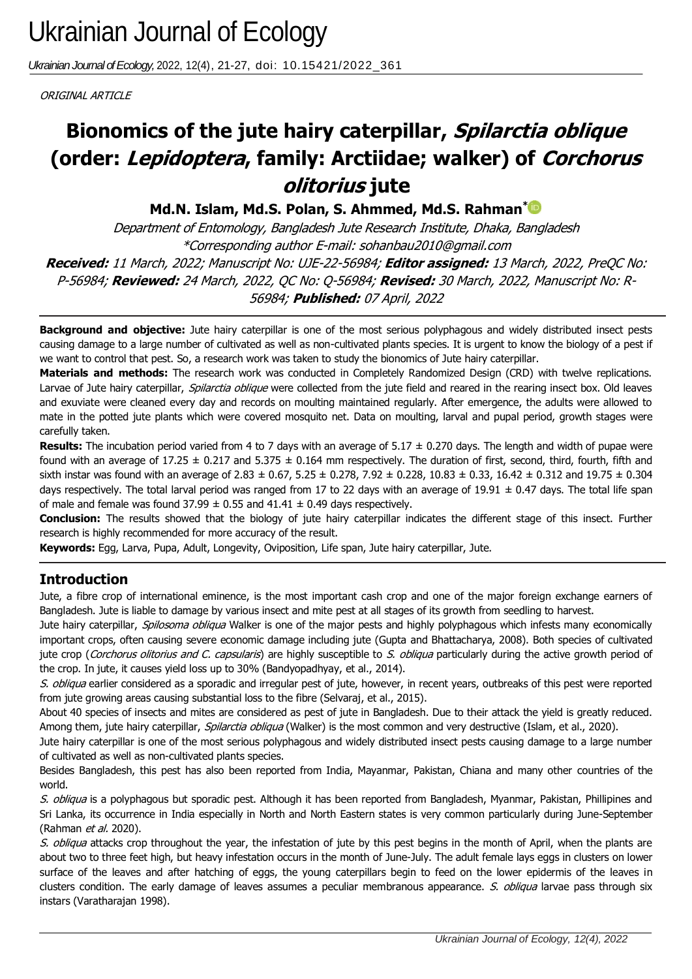*Ukrainian Journal of Ecology,* 2022, 12(4), 21-27, doi: 10.15421/2022\_361

ORIGINAL ARTICLE

# **(order: Lepidoptera, family: Arctiidae; walker) of** *Corchorus* **Bionomics of the jute hairy caterpillar, Spilarctia oblique olitorius jute**

**Md.N. Islam, Md.S. Polan, S. Ahmmed, Md.S. Rahman[\\*](https://orcid.org/0000-0001-6631-0552)**

Department of Entomology, Bangladesh Jute Research Institute, Dhaka, Bangladesh \*Corresponding author E-mail: sohanbau2010@gmail.com **Received:** 11 March, 2022; Manuscript No: UJE-22-56984; **Editor assigned:** 13 March, 2022, PreQC No: P-56984; **Reviewed:** 24 March, 2022, QC No: Q-56984; **Revised:** 30 March, 2022, Manuscript No: R-56984; **Published:** 07 April, 2022

**Background and objective:** Jute hairy caterpillar is one of the most serious polyphagous and widely distributed insect pests causing damage to a large number of cultivated as well as non-cultivated plants species. It is urgent to know the biology of a pest if we want to control that pest. So, a research work was taken to study the bionomics of Jute hairy caterpillar.

**Materials and methods:** The research work was conducted in Completely Randomized Design (CRD) with twelve replications. Larvae of Jute hairy caterpillar, Spilarctia oblique were collected from the jute field and reared in the rearing insect box. Old leaves and exuviate were cleaned every day and records on moulting maintained regularly. After emergence, the adults were allowed to mate in the potted jute plants which were covered mosquito net. Data on moulting, larval and pupal period, growth stages were carefully taken.

**Results:** The incubation period varied from 4 to 7 days with an average of 5.17 ± 0.270 days. The length and width of pupae were found with an average of 17.25  $\pm$  0.217 and 5.375  $\pm$  0.164 mm respectively. The duration of first, second, third, fourth, fifth and sixth instar was found with an average of 2.83  $\pm$  0.67, 5.25  $\pm$  0.278, 7.92  $\pm$  0.228, 10.83  $\pm$  0.33, 16.42  $\pm$  0.312 and 19.75  $\pm$  0.304 days respectively. The total larval period was ranged from 17 to 22 days with an average of 19.91  $\pm$  0.47 days. The total life span of male and female was found  $37.99 \pm 0.55$  and  $41.41 \pm 0.49$  days respectively.

**Conclusion:** The results showed that the biology of jute hairy caterpillar indicates the different stage of this insect. Further research is highly recommended for more accuracy of the result.

**Keywords:** Egg, Larva, Pupa, Adult, Longevity, Oviposition, Life span, Jute hairy caterpillar, Jute.

## **Introduction**

Jute, a fibre crop of international eminence, is the most important cash crop and one of the major foreign exchange earners of Bangladesh. Jute is liable to damage by various insect and mite pest at all stages of its growth from seedling to harvest.

Jute hairy caterpillar, Spilosoma obliqua Walker is one of the major pests and highly polyphagous which infests many economically important crops, often causing severe economic damage including jute (Gupta and Bhattacharya, 2008). Both species of cultivated jute crop (Corchorus olitorius and C. capsularis) are highly susceptible to S. obliqua particularly during the active growth period of the crop. In jute, it causes yield loss up to 30% (Bandyopadhyay, et al., 2014).

S. obliqua earlier considered as a sporadic and irregular pest of jute, however, in recent years, outbreaks of this pest were reported from jute growing areas causing substantial loss to the fibre (Selvaraj, et al., 2015).

About 40 species of insects and mites are considered as pest of jute in Bangladesh. Due to their attack the yield is greatly reduced. Among them, jute hairy caterpillar, *Spilarctia obliqua* (Walker) is the most common and very destructive (Islam, et al., 2020).

Jute hairy caterpillar is one of the most serious polyphagous and widely distributed insect pests causing damage to a large number of cultivated as well as non-cultivated plants species.

Besides Bangladesh, this pest has also been reported from India, Mayanmar, Pakistan, Chiana and many other countries of the world.

S. obliqua is a polyphagous but sporadic pest. Although it has been reported from Bangladesh, Myanmar, Pakistan, Phillipines and Sri Lanka, its occurrence in India especially in North and North Eastern states is very common particularly during June-September (Rahman et al. 2020).

S. obliqua attacks crop throughout the year, the infestation of jute by this pest begins in the month of April, when the plants are about two to three feet high, but heavy infestation occurs in the month of June-July. The adult female lays eggs in clusters on lower surface of the leaves and after hatching of eggs, the young caterpillars begin to feed on the lower epidermis of the leaves in clusters condition. The early damage of leaves assumes a peculiar membranous appearance. S. obliqua larvae pass through six instars (Varatharajan 1998).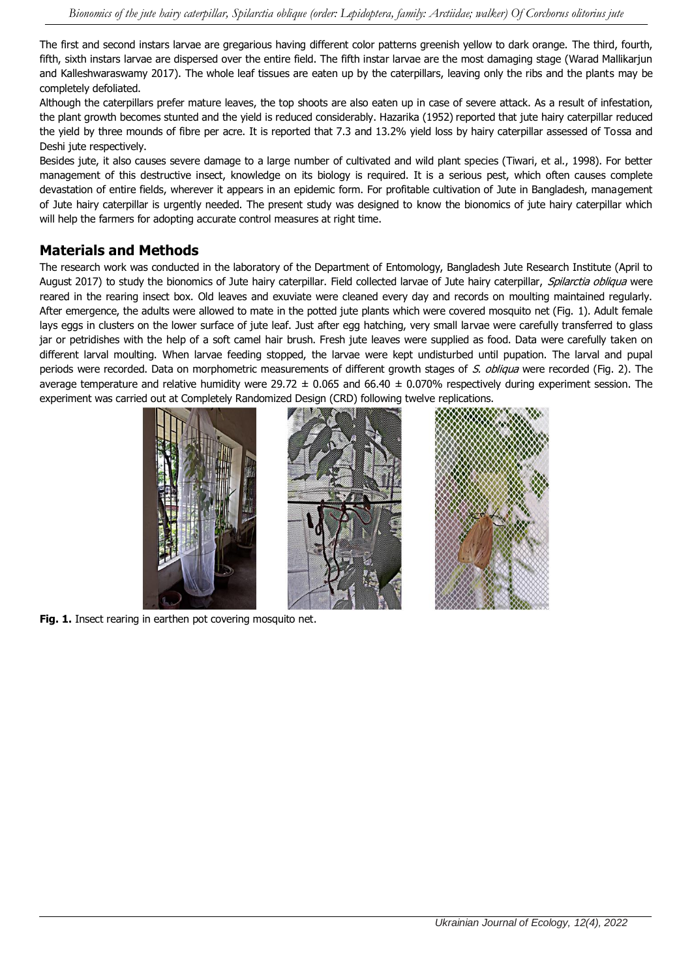The first and second instars larvae are gregarious having different color patterns greenish yellow to dark orange. The third, fourth, fifth, sixth instars larvae are dispersed over the entire field. The fifth instar larvae are the most damaging stage (Warad Mallikarjun and Kalleshwaraswamy 2017). The whole leaf tissues are eaten up by the caterpillars, leaving only the ribs and the plants may be completely defoliated.

Although the caterpillars prefer mature leaves, the top shoots are also eaten up in case of severe attack. As a result of infestation, the plant growth becomes stunted and the yield is reduced considerably. Hazarika (1952) reported that jute hairy caterpillar reduced the yield by three mounds of fibre per acre. It is reported that 7.3 and 13.2% yield loss by hairy caterpillar assessed of Tossa and Deshi jute respectively.

Besides jute, it also causes severe damage to a large number of cultivated and wild plant species (Tiwari, et al., 1998). For better management of this destructive insect, knowledge on its biology is required. It is a serious pest, which often causes complete devastation of entire fields, wherever it appears in an epidemic form. For profitable cultivation of Jute in Bangladesh, management of Jute hairy caterpillar is urgently needed. The present study was designed to know the bionomics of jute hairy caterpillar which will help the farmers for adopting accurate control measures at right time.

## **Materials and Methods**

The research work was conducted in the laboratory of the Department of Entomology, Bangladesh Jute Research Institute (April to August 2017) to study the bionomics of Jute hairy caterpillar. Field collected larvae of Jute hairy caterpillar, Spilarctia obliqua were reared in the rearing insect box. Old leaves and exuviate were cleaned every day and records on moulting maintained regularly. After emergence, the adults were allowed to mate in the potted jute plants which were covered mosquito net (Fig. 1). Adult female lays eggs in clusters on the lower surface of jute leaf. Just after egg hatching, very small larvae were carefully transferred to glass jar or petridishes with the help of a soft camel hair brush. Fresh jute leaves were supplied as food. Data were carefully taken on different larval moulting. When larvae feeding stopped, the larvae were kept undisturbed until pupation. The larval and pupal periods were recorded. Data on morphometric measurements of different growth stages of S. obliqua were recorded (Fig. 2). The average temperature and relative humidity were 29.72  $\pm$  0.065 and 66.40  $\pm$  0.070% respectively during experiment session. The experiment was carried out at Completely Randomized Design (CRD) following twelve replications.



Fig. 1. Insect rearing in earthen pot covering mosquito net.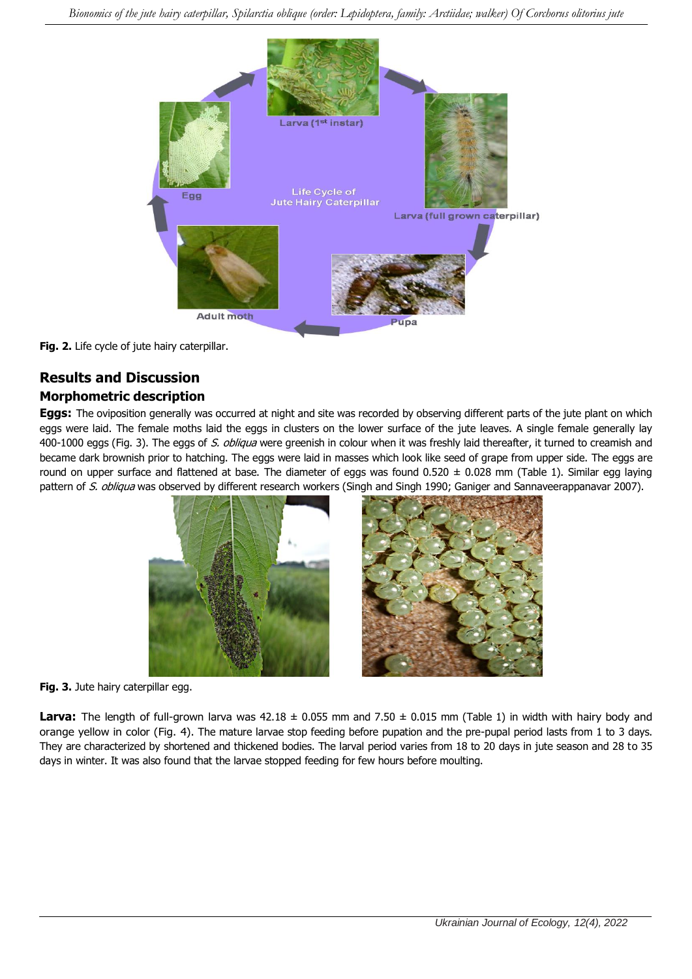

**Fig. 2.** Life cycle of jute hairy caterpillar.

## **Results and Discussion Morphometric description**

**Eggs:** The oviposition generally was occurred at night and site was recorded by observing different parts of the jute plant on which eggs were laid. The female moths laid the eggs in clusters on the lower surface of the jute leaves. A single female generally lay 400-1000 eggs (Fig. 3). The eggs of S. obliqua were greenish in colour when it was freshly laid thereafter, it turned to creamish and became dark brownish prior to hatching. The eggs were laid in masses which look like seed of grape from upper side. The eggs are round on upper surface and flattened at base. The diameter of eggs was found  $0.520 \pm 0.028$  mm (Table 1). Similar egg laying pattern of S. obliqua was observed by different research workers (Singh and Singh 1990; Ganiger and Sannaveerappanavar 2007).



**Fig. 3.** Jute hairy caterpillar egg.

**Larva:** The length of full-grown larva was  $42.18 \pm 0.055$  mm and  $7.50 \pm 0.015$  mm (Table 1) in width with hairy body and orange yellow in color (Fig. 4). The mature larvae stop feeding before pupation and the pre-pupal period lasts from 1 to 3 days. They are characterized by shortened and thickened bodies. The larval period varies from 18 to 20 days in jute season and 28 to 35 days in winter. It was also found that the larvae stopped feeding for few hours before moulting.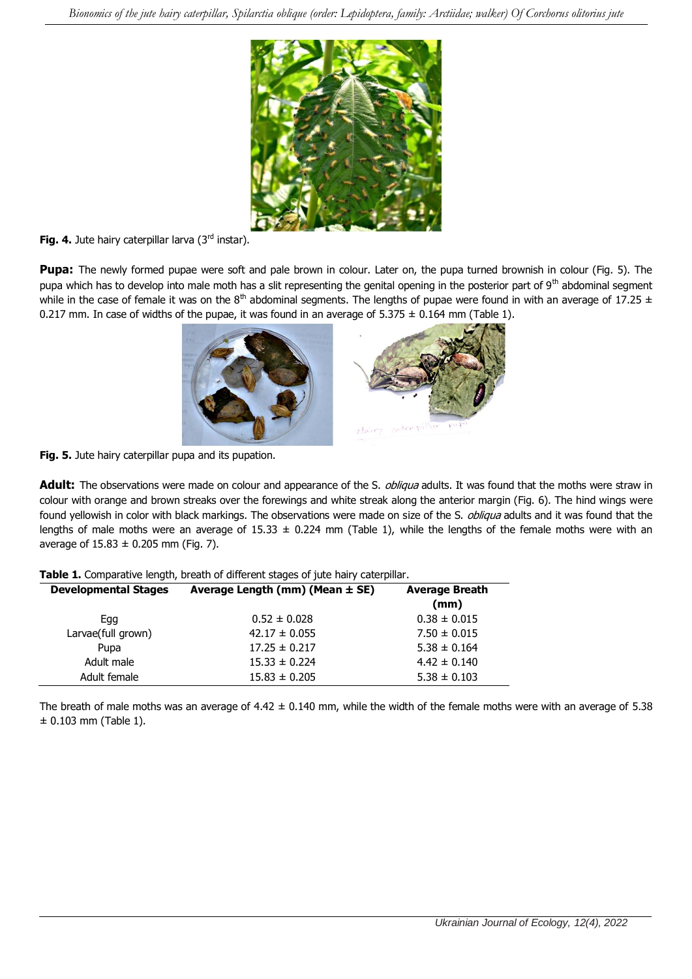

Fig. 4. Jute hairy caterpillar larva (3<sup>rd</sup> instar).

**Pupa:** The newly formed pupae were soft and pale brown in colour. Later on, the pupa turned brownish in colour (Fig. 5). The pupa which has to develop into male moth has a slit representing the genital opening in the posterior part of 9<sup>th</sup> abdominal segment while in the case of female it was on the  $8<sup>th</sup>$  abdominal segments. The lengths of pupae were found in with an average of 17.25  $\pm$ 0.217 mm. In case of widths of the pupae, it was found in an average of  $5.375 \pm 0.164$  mm (Table 1).



**Fig. 5.** Jute hairy caterpillar pupa and its pupation.

Adult: The observations were made on colour and appearance of the S. *obliqua* adults. It was found that the moths were straw in colour with orange and brown streaks over the forewings and white streak along the anterior margin (Fig. 6). The hind wings were found yellowish in color with black markings. The observations were made on size of the S. *obliqua* adults and it was found that the lengths of male moths were an average of 15.33  $\pm$  0.224 mm (Table 1), while the lengths of the female moths were with an average of  $15.83 \pm 0.205$  mm (Fig. 7).

| <b>Developmental Stages</b> | Average Length (mm) (Mean $\pm$ SE) | <b>Average Breath</b><br>(mm) |
|-----------------------------|-------------------------------------|-------------------------------|
| Egg                         | $0.52 \pm 0.028$                    | $0.38 \pm 0.015$              |
| Larvae(full grown)          | $42.17 \pm 0.055$                   | $7.50 \pm 0.015$              |
| Pupa                        | $17.25 \pm 0.217$                   | $5.38 \pm 0.164$              |
| Adult male                  | $15.33 \pm 0.224$                   | $4.42 \pm 0.140$              |
| Adult female                | $15.83 \pm 0.205$                   | $5.38 \pm 0.103$              |

The breath of male moths was an average of  $4.42 \pm 0.140$  mm, while the width of the female moths were with an average of 5.38  $± 0.103$  mm (Table 1).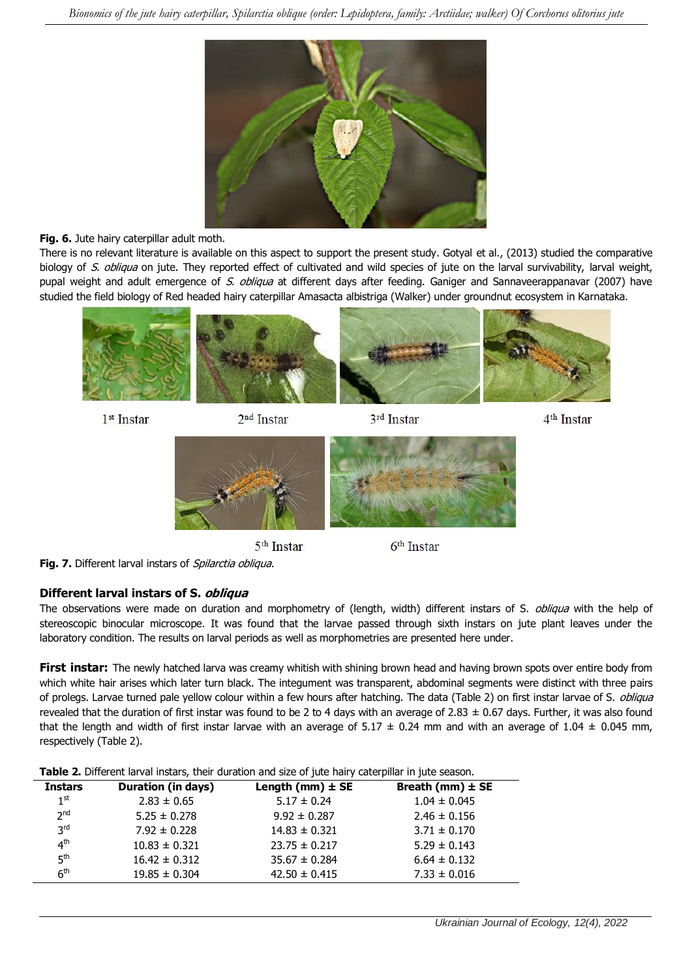

#### **Fig. 6.** Jute hairy caterpillar adult moth.

There is no relevant literature is available on this aspect to support the present study. Gotyal et al., (2013) studied the comparative biology of S. obliqua on jute. They reported effect of cultivated and wild species of jute on the larval survivability, larval weight, pupal weight and adult emergence of S. obliqua at different days after feeding. Ganiger and Sannaveerappanavar (2007) have studied the field biology of Red headed hairy caterpillar Amasacta albistriga (Walker) under groundnut ecosystem in Karnataka.



1<sup>st</sup> Instar



3rd Instar



5<sup>th</sup> Instar

 $6<sup>th</sup>$  Instar



#### **Different larval instars of S. obliqua**

The observations were made on duration and morphometry of (length, width) different instars of S. obliqua with the help of stereoscopic binocular microscope. It was found that the larvae passed through sixth instars on jute plant leaves under the laboratory condition. The results on larval periods as well as morphometries are presented here under.

First instar: The newly hatched larva was creamy whitish with shining brown head and having brown spots over entire body from which white hair arises which later turn black. The integument was transparent, abdominal segments were distinct with three pairs of prolegs. Larvae turned pale yellow colour within a few hours after hatching. The data (Table 2) on first instar larvae of S. *obliqua* revealed that the duration of first instar was found to be 2 to 4 days with an average of 2.83  $\pm$  0.67 days. Further, it was also found that the length and width of first instar larvae with an average of 5.17  $\pm$  0.24 mm and with an average of 1.04  $\pm$  0.045 mm, respectively (Table 2).

|  |  |  |  |  |  |  | Table 2. Different larval instars, their duration and size of jute hairy caterpillar in jute season. |
|--|--|--|--|--|--|--|------------------------------------------------------------------------------------------------------|
|--|--|--|--|--|--|--|------------------------------------------------------------------------------------------------------|

|                 |                           | <b>TWATER STILL CITY IN THE INTERNATIONAL CONTRACTOR CITY OF STATE OF TWILLY COLOR PHINT THE TWILD DOWDOTH</b> |                      |  |
|-----------------|---------------------------|----------------------------------------------------------------------------------------------------------------|----------------------|--|
| <b>Instars</b>  | <b>Duration (in days)</b> | Length (mm) $\pm$ SE                                                                                           | Breath (mm) $\pm$ SE |  |
| 1 <sup>st</sup> | $2.83 \pm 0.65$           | $5.17 \pm 0.24$                                                                                                | $1.04 \pm 0.045$     |  |
| 2 <sup>nd</sup> | $5.25 \pm 0.278$          | $9.92 \pm 0.287$                                                                                               | $2.46 \pm 0.156$     |  |
| 3 <sup>rd</sup> | $7.92 \pm 0.228$          | $14.83 \pm 0.321$                                                                                              | $3.71 \pm 0.170$     |  |
| 4 <sup>th</sup> | $10.83 \pm 0.321$         | $23.75 \pm 0.217$                                                                                              | $5.29 \pm 0.143$     |  |
| 5 <sup>th</sup> | $16.42 \pm 0.312$         | $35.67 \pm 0.284$                                                                                              | $6.64 \pm 0.132$     |  |
| 6 <sup>th</sup> | $19.85 \pm 0.304$         | $42.50 \pm 0.415$                                                                                              | $7.33 \pm 0.016$     |  |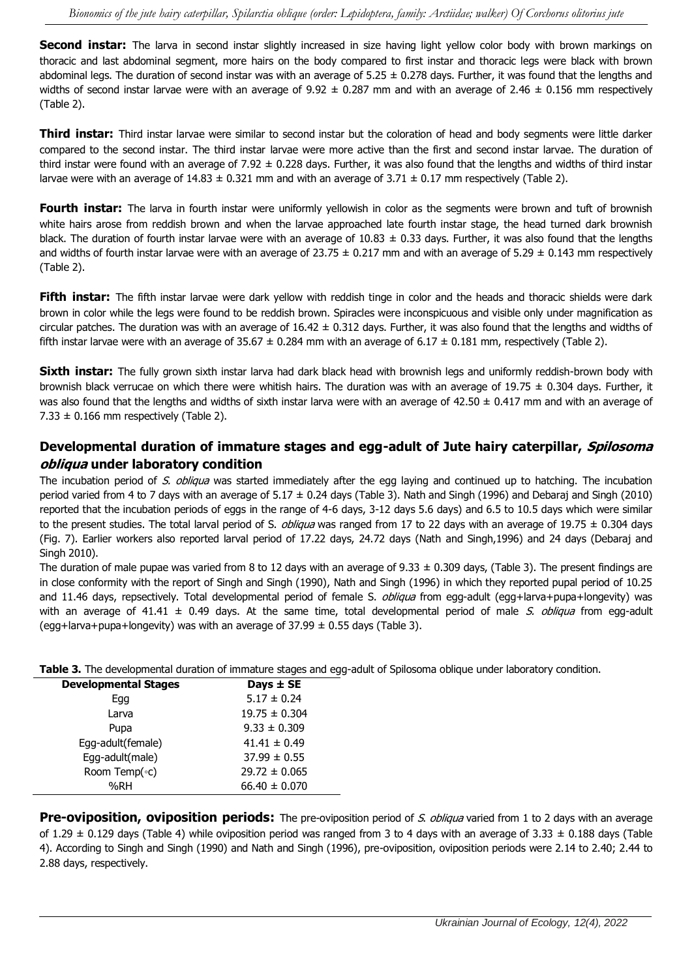**Second instar:** The larva in second instar slightly increased in size having light yellow color body with brown markings on thoracic and last abdominal segment, more hairs on the body compared to first instar and thoracic legs were black with brown abdominal legs. The duration of second instar was with an average of  $5.25 \pm 0.278$  days. Further, it was found that the lengths and widths of second instar larvae were with an average of 9.92  $\pm$  0.287 mm and with an average of 2.46  $\pm$  0.156 mm respectively (Table 2).

**Third instar:** Third instar larvae were similar to second instar but the coloration of head and body segments were little darker compared to the second instar. The third instar larvae were more active than the first and second instar larvae. The duration of third instar were found with an average of 7.92  $\pm$  0.228 days. Further, it was also found that the lengths and widths of third instar larvae were with an average of  $14.83 \pm 0.321$  mm and with an average of  $3.71 \pm 0.17$  mm respectively (Table 2).

Fourth instar: The larva in fourth instar were uniformly yellowish in color as the segments were brown and tuft of brownish white hairs arose from reddish brown and when the larvae approached late fourth instar stage, the head turned dark brownish black. The duration of fourth instar larvae were with an average of  $10.83 \pm 0.33$  days. Further, it was also found that the lengths and widths of fourth instar larvae were with an average of 23.75  $\pm$  0.217 mm and with an average of 5.29  $\pm$  0.143 mm respectively (Table 2).

Fifth instar: The fifth instar larvae were dark yellow with reddish tinge in color and the heads and thoracic shields were dark brown in color while the legs were found to be reddish brown. Spiracles were inconspicuous and visible only under magnification as circular patches. The duration was with an average of  $16.42 \pm 0.312$  days. Further, it was also found that the lengths and widths of fifth instar larvae were with an average of 35.67  $\pm$  0.284 mm with an average of 6.17  $\pm$  0.181 mm, respectively (Table 2).

**Sixth instar:** The fully grown sixth instar larva had dark black head with brownish legs and uniformly reddish-brown body with brownish black verrucae on which there were whitish hairs. The duration was with an average of 19.75  $\pm$  0.304 days. Further, it was also found that the lengths and widths of sixth instar larva were with an average of  $42.50 \pm 0.417$  mm and with an average of  $7.33 \pm 0.166$  mm respectively (Table 2).

### **Developmental duration of immature stages and egg-adult of Jute hairy caterpillar, Spilosoma obliqua under laboratory condition**

The incubation period of S. obliqua was started immediately after the egg laying and continued up to hatching. The incubation period varied from 4 to 7 days with an average of  $5.17 \pm 0.24$  days (Table 3). Nath and Singh (1996) and Debaraj and Singh (2010) reported that the incubation periods of eggs in the range of 4-6 days, 3-12 days 5.6 days) and 6.5 to 10.5 days which were similar to the present studies. The total larval period of S. *obliqua* was ranged from 17 to 22 days with an average of 19.75  $\pm$  0.304 days (Fig. 7). Earlier workers also reported larval period of 17.22 days, 24.72 days (Nath and Singh,1996) and 24 days (Debaraj and Singh 2010).

The duration of male pupae was varied from 8 to 12 days with an average of 9.33  $\pm$  0.309 days, (Table 3). The present findings are in close conformity with the report of Singh and Singh (1990), Nath and Singh (1996) in which they reported pupal period of 10.25 and 11.46 days, repsectively. Total developmental period of female S. *obliqua* from egg-adult (egg+larva+pupa+longevity) was with an average of 41.41  $\pm$  0.49 days. At the same time, total developmental period of male S. obliqua from egg-adult (egg+larva+pupa+longevity) was with an average of  $37.99 \pm 0.55$  days (Table 3).

**Table 3.** The developmental duration of immature stages and egg-adult of Spilosoma oblique under laboratory condition.

| <b>Developmental Stages</b> | Days $\pm$ SE     |
|-----------------------------|-------------------|
| Egg                         | $5.17 \pm 0.24$   |
| Larva                       | $19.75 \pm 0.304$ |
| Pupa                        | $9.33 \pm 0.309$  |
| Egg-adult(female)           | $41.41 \pm 0.49$  |
| Egg-adult(male)             | $37.99 \pm 0.55$  |
| Room Temp( $\circ$ c)       | $29.72 \pm 0.065$ |
| %RH                         | $66.40 \pm 0.070$ |

**Pre-oviposition, oviposition periods:** The pre-oviposition period of S. obliqua varied from 1 to 2 days with an average of 1.29  $\pm$  0.129 days (Table 4) while oviposition period was ranged from 3 to 4 days with an average of 3.33  $\pm$  0.188 days (Table 4). According to Singh and Singh (1990) and Nath and Singh (1996), pre-oviposition, oviposition periods were 2.14 to 2.40; 2.44 to 2.88 days, respectively.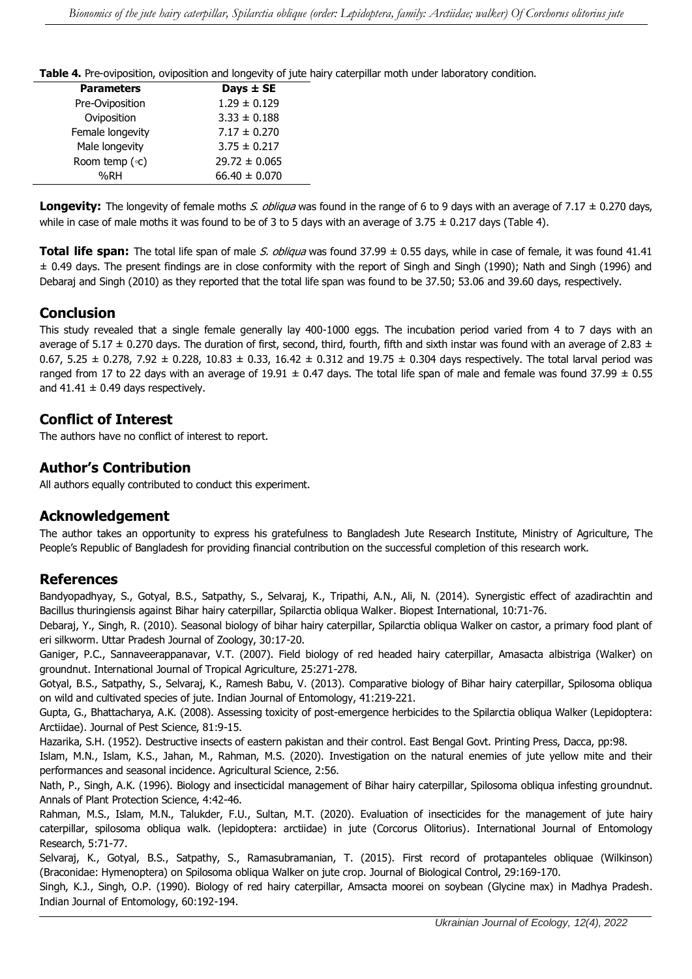**Table 4.** Pre-oviposition, oviposition and longevity of jute hairy caterpillar moth under laboratory condition.

| <b>Parameters</b> | Days $\pm$ SE     |
|-------------------|-------------------|
| Pre-Oviposition   | $1.29 \pm 0.129$  |
| Oviposition       | $3.33 \pm 0.188$  |
| Female longevity  | $7.17 \pm 0.270$  |
| Male longevity    | $3.75 \pm 0.217$  |
| Room temp (°c)    | $29.72 \pm 0.065$ |
| %RH               | $66.40 \pm 0.070$ |

Longevity: The longevity of female moths S. obliqua was found in the range of 6 to 9 days with an average of 7.17  $\pm$  0.270 days, while in case of male moths it was found to be of 3 to 5 days with an average of  $3.75 \pm 0.217$  days (Table 4).

**Total life span:** The total life span of male S. obliqua was found 37.99 ± 0.55 days, while in case of female, it was found 41.41 ± 0.49 days. The present findings are in close conformity with the report of Singh and Singh (1990); Nath and Singh (1996) and Debaraj and Singh (2010) as they reported that the total life span was found to be 37.50; 53.06 and 39.60 days, respectively.

### **Conclusion**

This study revealed that a single female generally lay 400-1000 eggs. The incubation period varied from 4 to 7 days with an average of 5.17  $\pm$  0.270 days. The duration of first, second, third, fourth, fifth and sixth instar was found with an average of 2.83  $\pm$ 0.67, 5.25  $\pm$  0.278, 7.92  $\pm$  0.228, 10.83  $\pm$  0.33, 16.42  $\pm$  0.312 and 19.75  $\pm$  0.304 days respectively. The total larval period was ranged from 17 to 22 days with an average of 19.91  $\pm$  0.47 days. The total life span of male and female was found 37.99  $\pm$  0.55 and  $41.41 \pm 0.49$  days respectively.

### **Conflict of Interest**

The authors have no conflict of interest to report.

### **Author's Contribution**

All authors equally contributed to conduct this experiment.

#### **Acknowledgement**

The author takes an opportunity to express his gratefulness to Bangladesh Jute Research Institute, Ministry of Agriculture, The People's Republic of Bangladesh for providing financial contribution on the successful completion of this research work.

#### **References**

Bandyopadhyay, S., Gotyal, B.S., Satpathy, S., Selvaraj, K., Tripathi, A.N., Ali, N. (2014). [Synergistic effect of azadirachtin and](https://www.researchgate.net/profile/Bhimashankar-Gotyal/publication/282075989_Synergistic_effect_of_Azadirachtin_and_Bacillus_thuringiensis_against_Bihar_Hairy_Caterpillar_Spilarctia_obliqua_Walker/links/565ed57308ae1ef92983f158/Synergistic-effect-of-Azadirachtin-and-Bacillus-thuringiensis-against-Bihar-Hairy-Caterpillar-Spilarctia-obliqua-Walker.pdf)  [Bacillus thuringiensis against Bihar hairy caterpillar, Spilarctia obliqua Walker.](https://www.researchgate.net/profile/Bhimashankar-Gotyal/publication/282075989_Synergistic_effect_of_Azadirachtin_and_Bacillus_thuringiensis_against_Bihar_Hairy_Caterpillar_Spilarctia_obliqua_Walker/links/565ed57308ae1ef92983f158/Synergistic-effect-of-Azadirachtin-and-Bacillus-thuringiensis-against-Bihar-Hairy-Caterpillar-Spilarctia-obliqua-Walker.pdf) Biopest International, 10:71-76.

Debaraj, Y., Singh, R. (2010). [Seasonal biology of bihar hairy caterpillar, Spilarctia obliqua Walker on castor, a primary food plant of](https://www.cabdirect.org/cabdirect/abstract/20113004156)  [eri silkworm.](https://www.cabdirect.org/cabdirect/abstract/20113004156) Uttar Pradesh Journal of Zoology, 30:17-20.

Ganiger, P.C., Sannaveerappanavar, V.T. (2007). Field biology of red headed hairy caterpillar, Amasacta albistriga (Walker) on groundnut. International Journal of Tropical Agriculture, 25:271-278.

Gotyal, B.S., Satpathy, S., Selvaraj, K., Ramesh Babu, V. (2013). Comparative [biology of Bihar hairy caterpillar, Spilosoma obliqua](https://agris.fao.org/agris-search/search.do?recordID=US202000281387)  [on wild and cultivated species of jute.](https://agris.fao.org/agris-search/search.do?recordID=US202000281387) Indian Journal of Entomology, 41:219-221.

Gupta, G., Bhattacharya, A.K. (2008). [Assessing toxicity of post-emergence herbicides to the Spilarctia obliqua Walker \(Lepidoptera:](https://link.springer.com/article/10.1007/s10340-007-0175-8)  [Arctiidae\).](https://link.springer.com/article/10.1007/s10340-007-0175-8) Journal of Pest Science, 81:9-15.

Hazarika, S.H. (1952). [Destructive insects of eastern pakistan and their control.](https://www.cabdirect.org/cabdirect/abstract/20057007581) East Bengal Govt. Printing Press, Dacca, pp:98.

Islam, M.N., Islam, K.S., Jahan, M., Rahman, M.S. (2020). [Investigation on the natural enemies of jute yellow mite and their](https://j.ideasspread.org/index.php/as/article/view/479)  [performances and seasonal incidence.](https://j.ideasspread.org/index.php/as/article/view/479) Agricultural Science, 2:56.

Nath, P., Singh, A.K. (1996). Biology and insecticidal management of Bihar hairy caterpillar, Spilosoma obliqua infesting groundnut. Annals of Plant Protection Science, 4:42-46.

Rahman, M.S., Islam, M.N., Talukder, F.U., Sultan, M.T. (2020). [Evaluation of insecticides for the management of jute hairy](https://www.researchgate.net/profile/Md-Rahman-534/publication/343932860_Evaluation_of_insecticides_for_the_management_of_jute_hairy_caterpillar_spilosoma_obliqua_walk_Lepidoptera_Arctiidae_in_jute_Corcorus_Olitorius/links/5f48934a458515a88b7a653c/Evaluation-of-insecticides-for-the-management-of-jute-hairy-caterpillar-spilosoma-obliqua-walk-Lepidoptera-Arctiidae-in-jute-Corcorus-Olitorius.pdf)  [caterpillar, spilosoma obliqua walk. \(lepidoptera: arctiidae\) in jute \(Corcorus Olitorius\).](https://www.researchgate.net/profile/Md-Rahman-534/publication/343932860_Evaluation_of_insecticides_for_the_management_of_jute_hairy_caterpillar_spilosoma_obliqua_walk_Lepidoptera_Arctiidae_in_jute_Corcorus_Olitorius/links/5f48934a458515a88b7a653c/Evaluation-of-insecticides-for-the-management-of-jute-hairy-caterpillar-spilosoma-obliqua-walk-Lepidoptera-Arctiidae-in-jute-Corcorus-Olitorius.pdf) International Journal of Entomology Research, 5:71-77.

Selvaraj, K., Gotyal, B.S., Satpathy, S., Ramasubramanian, T. (2015). [First record of protapanteles obliquae \(Wilkinson\)](http://ischolar.info/index.php/jbc/article/view/87304)  [\(Braconidae: Hymenoptera\) on Spilosoma obliqua Walker on jute crop.](http://ischolar.info/index.php/jbc/article/view/87304) Journal of Biological Control, 29:169-170.

Singh, K.J., Singh, O.P. (1990). [Biology of red hairy caterpillar, Amsacta moorei on soybean \(Glycine max\) in Madhya Pradesh.](https://www.cabdirect.org/cabdirect/abstract/19911157007) Indian Journal of Entomology, 60:192-194.